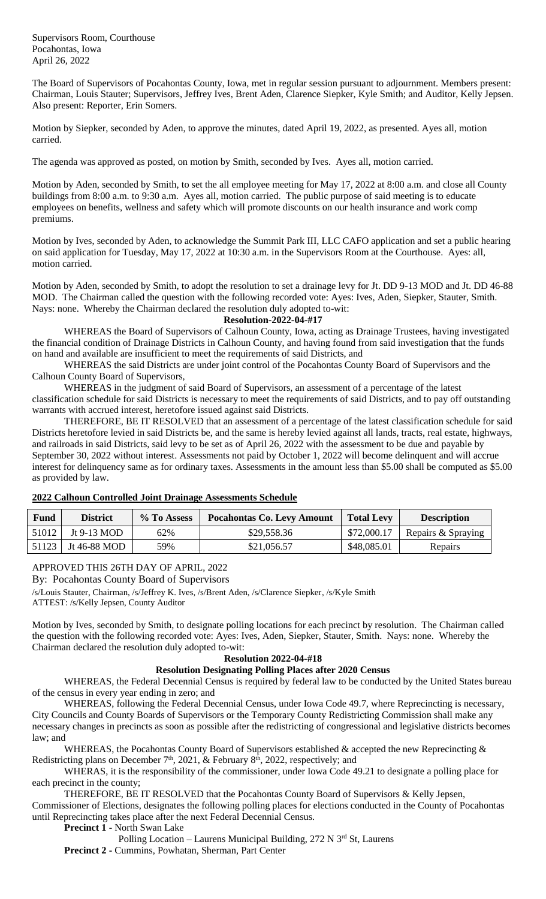Supervisors Room, Courthouse Pocahontas, Iowa April 26, 2022

The Board of Supervisors of Pocahontas County, Iowa, met in regular session pursuant to adjournment. Members present: Chairman, Louis Stauter; Supervisors, Jeffrey Ives, Brent Aden, Clarence Siepker, Kyle Smith; and Auditor, Kelly Jepsen. Also present: Reporter, Erin Somers.

Motion by Siepker, seconded by Aden, to approve the minutes, dated April 19, 2022, as presented. Ayes all, motion carried.

The agenda was approved as posted, on motion by Smith, seconded by Ives. Ayes all, motion carried.

Motion by Aden, seconded by Smith, to set the all employee meeting for May 17, 2022 at 8:00 a.m. and close all County buildings from 8:00 a.m. to 9:30 a.m. Ayes all, motion carried. The public purpose of said meeting is to educate employees on benefits, wellness and safety which will promote discounts on our health insurance and work comp premiums.

Motion by Ives, seconded by Aden, to acknowledge the Summit Park III, LLC CAFO application and set a public hearing on said application for Tuesday, May 17, 2022 at 10:30 a.m. in the Supervisors Room at the Courthouse. Ayes: all, motion carried.

Motion by Aden, seconded by Smith, to adopt the resolution to set a drainage levy for Jt. DD 9-13 MOD and Jt. DD 46-88 MOD. The Chairman called the question with the following recorded vote: Ayes: Ives, Aden, Siepker, Stauter, Smith. Nays: none. Whereby the Chairman declared the resolution duly adopted to-wit:

### **Resolution-2022-04-#17**

WHEREAS the Board of Supervisors of Calhoun County, Iowa, acting as Drainage Trustees, having investigated the financial condition of Drainage Districts in Calhoun County, and having found from said investigation that the funds on hand and available are insufficient to meet the requirements of said Districts, and

WHEREAS the said Districts are under joint control of the Pocahontas County Board of Supervisors and the Calhoun County Board of Supervisors,

WHEREAS in the judgment of said Board of Supervisors, an assessment of a percentage of the latest classification schedule for said Districts is necessary to meet the requirements of said Districts, and to pay off outstanding warrants with accrued interest, heretofore issued against said Districts.

THEREFORE, BE IT RESOLVED that an assessment of a percentage of the latest classification schedule for said Districts heretofore levied in said Districts be, and the same is hereby levied against all lands, tracts, real estate, highways, and railroads in said Districts, said levy to be set as of April 26, 2022 with the assessment to be due and payable by September 30, 2022 without interest. Assessments not paid by October 1, 2022 will become delinquent and will accrue interest for delinquency same as for ordinary taxes. Assessments in the amount less than \$5.00 shall be computed as \$5.00 as provided by law.

## **2022 Calhoun Controlled Joint Drainage Assessments Schedule**

| Fund  | <b>District</b> | % To Assess | <b>Pocahontas Co. Levy Amount</b> | <b>Total Levy</b> | <b>Description</b> |
|-------|-----------------|-------------|-----------------------------------|-------------------|--------------------|
| 51012 | Jt 9-13 MOD     | 62%         | \$29,558.36                       | \$72,000.17       | Repairs & Spraying |
| 51123 | Jt 46-88 MOD    | 59%         | \$21,056.57                       | \$48,085.01       | Repairs            |

# APPROVED THIS 26TH DAY OF APRIL, 2022

By: Pocahontas County Board of Supervisors

/s/Louis Stauter, Chairman, /s/Jeffrey K. Ives, /s/Brent Aden, /s/Clarence Siepker, /s/Kyle Smith

ATTEST: /s/Kelly Jepsen, County Auditor

Motion by Ives, seconded by Smith, to designate polling locations for each precinct by resolution. The Chairman called the question with the following recorded vote: Ayes: Ives, Aden, Siepker, Stauter, Smith. Nays: none. Whereby the Chairman declared the resolution duly adopted to-wit:

#### **Resolution 2022-04-#18**

## **Resolution Designating Polling Places after 2020 Census**

WHEREAS, the Federal Decennial Census is required by federal law to be conducted by the United States bureau of the census in every year ending in zero; and

WHEREAS, following the Federal Decennial Census, under Iowa Code 49.7, where Reprecincting is necessary, City Councils and County Boards of Supervisors or the Temporary County Redistricting Commission shall make any necessary changes in precincts as soon as possible after the redistricting of congressional and legislative districts becomes law; and

WHEREAS, the Pocahontas County Board of Supervisors established & accepted the new Reprecincting & Redistricting plans on December 7<sup>th</sup>, 2021,  $\&$  February 8<sup>th</sup>, 2022, respectively; and

WHERAS, it is the responsibility of the commissioner, under Iowa Code 49.21 to designate a polling place for each precinct in the county;

THEREFORE, BE IT RESOLVED that the Pocahontas County Board of Supervisors & Kelly Jepsen, Commissioner of Elections, designates the following polling places for elections conducted in the County of Pocahontas until Reprecincting takes place after the next Federal Decennial Census.

**Precinct 1 -** North Swan Lake

Polling Location – Laurens Municipal Building, 272 N 3rd St, Laurens **Precinct 2 -** Cummins, Powhatan, Sherman, Part Center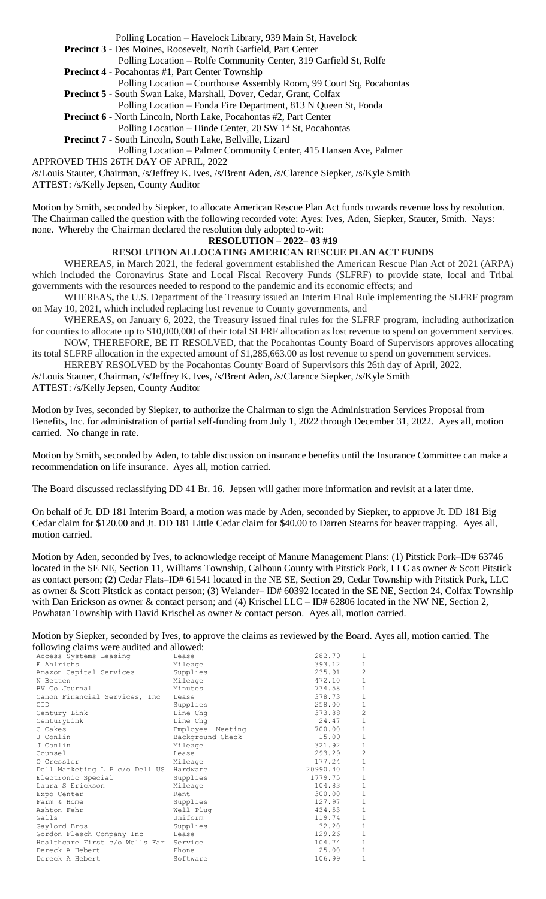Polling Location – Havelock Library, 939 Main St, Havelock

**Precinct 3 -** Des Moines, Roosevelt, North Garfield, Part Center

Polling Location – Rolfe Community Center, 319 Garfield St, Rolfe

**Precinct 4 -** Pocahontas #1, Part Center Township

 Polling Location – Courthouse Assembly Room, 99 Court Sq, Pocahontas **Precinct 5 -** South Swan Lake, Marshall, Dover, Cedar, Grant, Colfax

Polling Location – Fonda Fire Department, 813 N Queen St, Fonda

**Precinct 6 -** North Lincoln, North Lake, Pocahontas #2, Part Center

Polling Location – Hinde Center, 20 SW 1<sup>st</sup> St, Pocahontas

**Precinct 7 -** South Lincoln, South Lake, Bellville, Lizard

Polling Location – Palmer Community Center, 415 Hansen Ave, Palmer

APPROVED THIS 26TH DAY OF APRIL, 2022

/s/Louis Stauter, Chairman, /s/Jeffrey K. Ives, /s/Brent Aden, /s/Clarence Siepker, /s/Kyle Smith

ATTEST: /s/Kelly Jepsen, County Auditor

Motion by Smith, seconded by Siepker, to allocate American Rescue Plan Act funds towards revenue loss by resolution. The Chairman called the question with the following recorded vote: Ayes: Ives, Aden, Siepker, Stauter, Smith. Nays: none. Whereby the Chairman declared the resolution duly adopted to-wit:

## **RESOLUTION – 2022– 03 #19**

## **RESOLUTION ALLOCATING AMERICAN RESCUE PLAN ACT FUNDS**

WHEREAS, in March 2021, the federal government established the American Rescue Plan Act of 2021 (ARPA) which included the Coronavirus State and Local Fiscal Recovery Funds (SLFRF) to provide state, local and Tribal governments with the resources needed to respond to the pandemic and its economic effects; and

WHEREAS**,** the U.S. Department of the Treasury issued an Interim Final Rule implementing the SLFRF program on May 10, 2021, which included replacing lost revenue to County governments, and

WHEREAS**,** on January 6, 2022, the Treasury issued final rules for the SLFRF program, including authorization for counties to allocate up to \$10,000,000 of their total SLFRF allocation as lost revenue to spend on government services. NOW, THEREFORE, BE IT RESOLVED, that the Pocahontas County Board of Supervisors approves allocating

its total SLFRF allocation in the expected amount of \$1,285,663.00 as lost revenue to spend on government services.

HEREBY RESOLVED by the Pocahontas County Board of Supervisors this 26th day of April, 2022.

/s/Louis Stauter, Chairman, /s/Jeffrey K. Ives, /s/Brent Aden, /s/Clarence Siepker, /s/Kyle Smith

ATTEST: /s/Kelly Jepsen, County Auditor

Motion by Ives, seconded by Siepker, to authorize the Chairman to sign the Administration Services Proposal from Benefits, Inc. for administration of partial self-funding from July 1, 2022 through December 31, 2022. Ayes all, motion carried. No change in rate.

Motion by Smith, seconded by Aden, to table discussion on insurance benefits until the Insurance Committee can make a recommendation on life insurance. Ayes all, motion carried.

The Board discussed reclassifying DD 41 Br. 16. Jepsen will gather more information and revisit at a later time.

On behalf of Jt. DD 181 Interim Board, a motion was made by Aden, seconded by Siepker, to approve Jt. DD 181 Big Cedar claim for \$120.00 and Jt. DD 181 Little Cedar claim for \$40.00 to Darren Stearns for beaver trapping. Ayes all, motion carried.

Motion by Aden, seconded by Ives, to acknowledge receipt of Manure Management Plans: (1) Pitstick Pork–ID# 63746 located in the SE NE, Section 11, Williams Township, Calhoun County with Pitstick Pork, LLC as owner & Scott Pitstick as contact person; (2) Cedar Flats–ID# 61541 located in the NE SE, Section 29, Cedar Township with Pitstick Pork, LLC as owner & Scott Pitstick as contact person; (3) Welander– ID# 60392 located in the SE NE, Section 24, Colfax Township with Dan Erickson as owner & contact person; and (4) Krischel LLC – ID# 62806 located in the NW NE, Section 2, Powhatan Township with David Krischel as owner & contact person. Ayes all, motion carried.

Motion by Siepker, seconded by Ives, to approve the claims as reviewed by the Board. Ayes all, motion carried. The following claims were audited and allowed:

| rono wing clanno were addited and anowed. |                  |          |                |
|-------------------------------------------|------------------|----------|----------------|
| Access Systems Leasing                    | Lease            | 282.70   | 1              |
| E Ahlrichs                                | Mileage          | 393.12   | $\mathbf{1}$   |
| Amazon Capital Services                   | Supplies         | 235.91   | $\overline{c}$ |
| N Betten                                  | Mileage          | 472.10   | $1\,$          |
| BV Co Journal                             | Minutes          | 734.58   | $1\,$          |
| Canon Financial Services, Inc.            | Lease            | 378.73   | $\mathbf{1}$   |
| <b>CID</b>                                | Supplies         | 258.00   | $1\,$          |
| Century Link                              | Line Chq         | 373.88   | $\overline{2}$ |
| CenturyLink                               | Line Chq         | 24.47    | $\mathbf{1}$   |
| C Cakes                                   | Employee Meeting | 700.00   | $\,1\,$        |
| J Conlin                                  | Background Check | 15.00    | $1\,$          |
| J Conlin                                  | Mileage          | 321.92   | $1\,$          |
| Counsel                                   | Lease            | 293.29   | $\overline{c}$ |
| O Cressler                                | Mileage          | 177.24   | $\mathbf{1}$   |
| Dell Marketing L P c/o Dell US Hardware   |                  | 20990.40 | $1\,$          |
| Electronic Special                        | Supplies         | 1779.75  | $1\,$          |
| Laura S Erickson                          | Mileage          | 104.83   | $\mathbf 1$    |
| Expo Center                               | Rent             | 300.00   | $\mathbf{1}$   |
| Farm & Home                               | Supplies         | 127.97   | $\mathbf{1}$   |
| Ashton Fehr                               | Well Plug        | 434.53   | $\,1\,$        |
| Galls                                     | Uniform          | 119.74   | $\,1\,$        |
| Gaylord Bros                              | Supplies         | 32.20    | $\,1\,$        |
| Gordon Flesch Company Inc                 | Lease            | 129.26   | $\,1\,$        |
| Healthcare First c/o Wells Far Service    |                  | 104.74   | $1\,$          |
| Dereck A Hebert                           | Phone            | 25.00    | $\mathbf{1}$   |
| Dereck A Hebert                           | Software         | 106.99   | $\mathbf{1}$   |